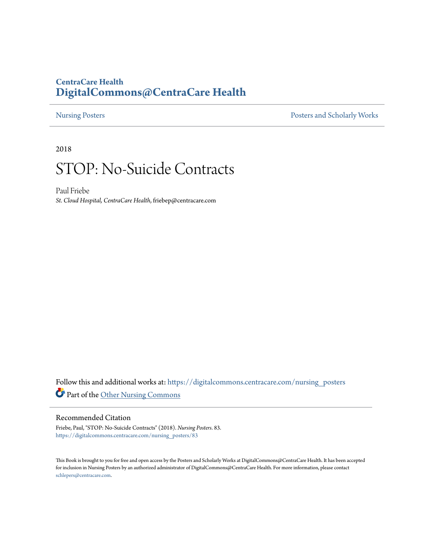### **CentraCare Health [DigitalCommons@CentraCare Health](https://digitalcommons.centracare.com?utm_source=digitalcommons.centracare.com%2Fnursing_posters%2F83&utm_medium=PDF&utm_campaign=PDFCoverPages)**

[Nursing Posters](https://digitalcommons.centracare.com/nursing_posters?utm_source=digitalcommons.centracare.com%2Fnursing_posters%2F83&utm_medium=PDF&utm_campaign=PDFCoverPages) **[Posters and Scholarly Works](https://digitalcommons.centracare.com/posters_scholarly_works?utm_source=digitalcommons.centracare.com%2Fnursing_posters%2F83&utm_medium=PDF&utm_campaign=PDFCoverPages)** 

2018

# STOP: No-Suicide Contracts

Paul Friebe *St. Cloud Hospital, CentraCare Health*, friebep@centracare.com

Follow this and additional works at: [https://digitalcommons.centracare.com/nursing\\_posters](https://digitalcommons.centracare.com/nursing_posters?utm_source=digitalcommons.centracare.com%2Fnursing_posters%2F83&utm_medium=PDF&utm_campaign=PDFCoverPages) Part of the [Other Nursing Commons](http://network.bepress.com/hgg/discipline/729?utm_source=digitalcommons.centracare.com%2Fnursing_posters%2F83&utm_medium=PDF&utm_campaign=PDFCoverPages)

#### Recommended Citation

Friebe, Paul, "STOP: No-Suicide Contracts" (2018). *Nursing Posters*. 83. [https://digitalcommons.centracare.com/nursing\\_posters/83](https://digitalcommons.centracare.com/nursing_posters/83?utm_source=digitalcommons.centracare.com%2Fnursing_posters%2F83&utm_medium=PDF&utm_campaign=PDFCoverPages)

This Book is brought to you for free and open access by the Posters and Scholarly Works at DigitalCommons@CentraCare Health. It has been accepted for inclusion in Nursing Posters by an authorized administrator of DigitalCommons@CentraCare Health. For more information, please contact [schlepers@centracare.com.](mailto:schlepers@centracare.com)